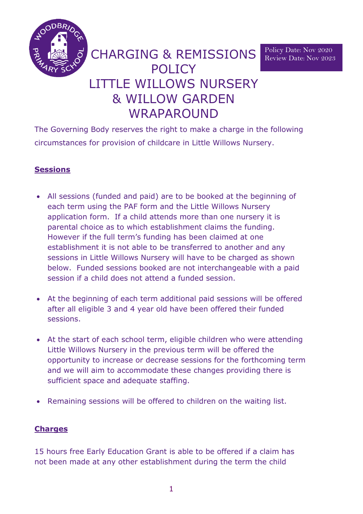

Policy Date: Nov 2020 Review Date: Nov 2023

# CHARGING & REMISSIONS **POLICY** LITTLE WILLOWS NURSERY & WILLOW GARDEN WRAPAROUND

The Governing Body reserves the right to make a charge in the following circumstances for provision of childcare in Little Willows Nursery.

# **Sessions**

- All sessions (funded and paid) are to be booked at the beginning of each term using the PAF form and the Little Willows Nursery application form. If a child attends more than one nursery it is parental choice as to which establishment claims the funding. However if the full term's funding has been claimed at one establishment it is not able to be transferred to another and any sessions in Little Willows Nursery will have to be charged as shown below. Funded sessions booked are not interchangeable with a paid session if a child does not attend a funded session.
- At the beginning of each term additional paid sessions will be offered after all eligible 3 and 4 year old have been offered their funded sessions.
- At the start of each school term, eligible children who were attending Little Willows Nursery in the previous term will be offered the opportunity to increase or decrease sessions for the forthcoming term and we will aim to accommodate these changes providing there is sufficient space and adequate staffing.
- Remaining sessions will be offered to children on the waiting list.

#### **Charges**

15 hours free Early Education Grant is able to be offered if a claim has not been made at any other establishment during the term the child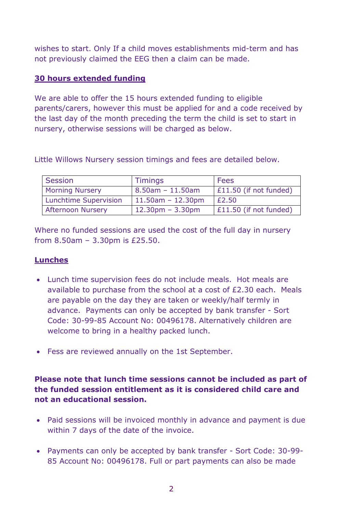wishes to start. Only If a child moves establishments mid-term and has not previously claimed the EEG then a claim can be made.

#### **30 hours extended funding**

We are able to offer the 15 hours extended funding to eligible parents/carers, however this must be applied for and a code received by the last day of the month preceding the term the child is set to start in nursery, otherwise sessions will be charged as below.

Little Willows Nursery session timings and fees are detailed below.

| <b>Session</b>               | <b>Timings</b>                     | Fees                   |
|------------------------------|------------------------------------|------------------------|
| <b>Morning Nursery</b>       | $8.50$ am - 11.50am                | £11.50 (if not funded) |
| <b>Lunchtime Supervision</b> | $11.50$ am - 12.30pm               | £2.50                  |
| <b>Afternoon Nursery</b>     | $12.30 \text{pm} - 3.30 \text{pm}$ | £11.50 (if not funded) |

Where no funded sessions are used the cost of the full day in nursery from 8.50am – 3.30pm is £25.50.

### **Lunches**

- Lunch time supervision fees do not include meals. Hot meals are available to purchase from the school at a cost of £2.30 each. Meals are payable on the day they are taken or weekly/half termly in advance. Payments can only be accepted by bank transfer - Sort Code: 30-99-85 Account No: 00496178. Alternatively children are welcome to bring in a healthy packed lunch.
- Fess are reviewed annually on the 1st September.

**Please note that lunch time sessions cannot be included as part of the funded session entitlement as it is considered child care and not an educational session.**

- Paid sessions will be invoiced monthly in advance and payment is due within 7 days of the date of the invoice.
- Payments can only be accepted by bank transfer Sort Code: 30-99- 85 Account No: 00496178. Full or part payments can also be made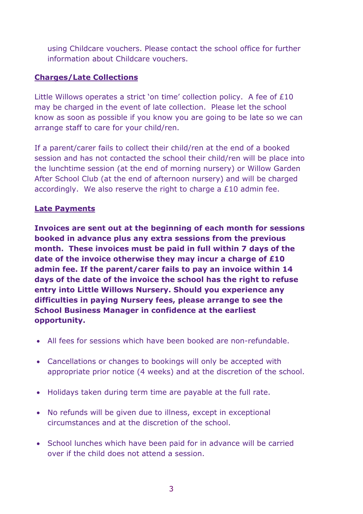using Childcare vouchers. Please contact the school office for further information about Childcare vouchers.

## **Charges/Late Collections**

Little Willows operates a strict 'on time' collection policy. A fee of £10 may be charged in the event of late collection. Please let the school know as soon as possible if you know you are going to be late so we can arrange staff to care for your child/ren.

If a parent/carer fails to collect their child/ren at the end of a booked session and has not contacted the school their child/ren will be place into the lunchtime session (at the end of morning nursery) or Willow Garden After School Club (at the end of afternoon nursery) and will be charged accordingly. We also reserve the right to charge a £10 admin fee.

#### **Late Payments**

**Invoices are sent out at the beginning of each month for sessions booked in advance plus any extra sessions from the previous month. These invoices must be paid in full within 7 days of the date of the invoice otherwise they may incur a charge of £10 admin fee. If the parent/carer fails to pay an invoice within 14 days of the date of the invoice the school has the right to refuse entry into Little Willows Nursery. Should you experience any difficulties in paying Nursery fees, please arrange to see the School Business Manager in confidence at the earliest opportunity.**

- All fees for sessions which have been booked are non-refundable.
- Cancellations or changes to bookings will only be accepted with appropriate prior notice (4 weeks) and at the discretion of the school.
- Holidays taken during term time are payable at the full rate.
- No refunds will be given due to illness, except in exceptional circumstances and at the discretion of the school.
- School lunches which have been paid for in advance will be carried over if the child does not attend a session.